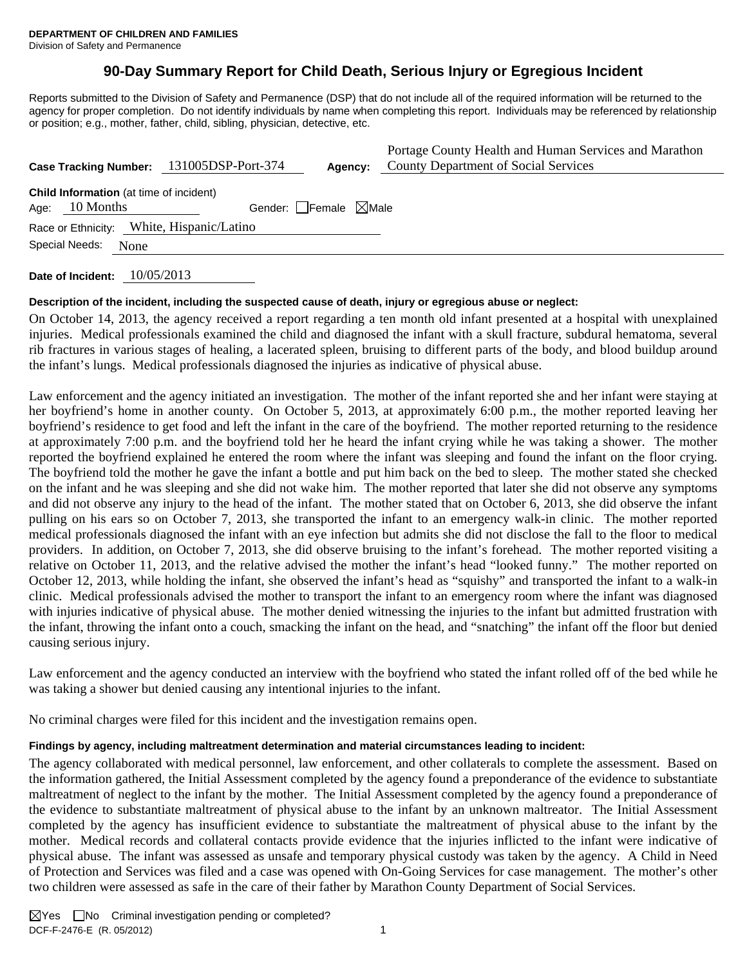# **90-Day Summary Report for Child Death, Serious Injury or Egregious Incident**

Reports submitted to the Division of Safety and Permanence (DSP) that do not include all of the required information will be returned to the agency for proper completion. Do not identify individuals by name when completing this report. Individuals may be referenced by relationship or position; e.g., mother, father, child, sibling, physician, detective, etc.

| Portage County Health and Human Services and Marathon<br><b>County Department of Social Services</b><br>131005DSP-Port-374<br><b>Case Tracking Number:</b><br>Agency: |  |  |  |
|-----------------------------------------------------------------------------------------------------------------------------------------------------------------------|--|--|--|
| <b>Child Information</b> (at time of incident)<br>Gender: Female $\boxtimes$ Male<br>10 Months<br>Age:                                                                |  |  |  |
| Race or Ethnicity: White, Hispanic/Latino                                                                                                                             |  |  |  |
| Special Needs:<br>None                                                                                                                                                |  |  |  |

**Date of Incident:** 10/05/2013

## **Description of the incident, including the suspected cause of death, injury or egregious abuse or neglect:**

On October 14, 2013, the agency received a report regarding a ten month old infant presented at a hospital with unexplained injuries. Medical professionals examined the child and diagnosed the infant with a skull fracture, subdural hematoma, several rib fractures in various stages of healing, a lacerated spleen, bruising to different parts of the body, and blood buildup around the infant's lungs. Medical professionals diagnosed the injuries as indicative of physical abuse.

Law enforcement and the agency initiated an investigation. The mother of the infant reported she and her infant were staying at her boyfriend's home in another county. On October 5, 2013, at approximately 6:00 p.m., the mother reported leaving her boyfriend's residence to get food and left the infant in the care of the boyfriend. The mother reported returning to the residence at approximately 7:00 p.m. and the boyfriend told her he heard the infant crying while he was taking a shower. The mother reported the boyfriend explained he entered the room where the infant was sleeping and found the infant on the floor crying. The boyfriend told the mother he gave the infant a bottle and put him back on the bed to sleep. The mother stated she checked on the infant and he was sleeping and she did not wake him. The mother reported that later she did not observe any symptoms and did not observe any injury to the head of the infant. The mother stated that on October 6, 2013, she did observe the infant pulling on his ears so on October 7, 2013, she transported the infant to an emergency walk-in clinic. The mother reported medical professionals diagnosed the infant with an eye infection but admits she did not disclose the fall to the floor to medical providers. In addition, on October 7, 2013, she did observe bruising to the infant's forehead. The mother reported visiting a relative on October 11, 2013, and the relative advised the mother the infant's head "looked funny." The mother reported on October 12, 2013, while holding the infant, she observed the infant's head as "squishy" and transported the infant to a walk-in clinic. Medical professionals advised the mother to transport the infant to an emergency room where the infant was diagnosed with injuries indicative of physical abuse. The mother denied witnessing the injuries to the infant but admitted frustration with the infant, throwing the infant onto a couch, smacking the infant on the head, and "snatching" the infant off the floor but denied causing serious injury.

Law enforcement and the agency conducted an interview with the boyfriend who stated the infant rolled off of the bed while he was taking a shower but denied causing any intentional injuries to the infant.

No criminal charges were filed for this incident and the investigation remains open.

## **Findings by agency, including maltreatment determination and material circumstances leading to incident:**

The agency collaborated with medical personnel, law enforcement, and other collaterals to complete the assessment. Based on the information gathered, the Initial Assessment completed by the agency found a preponderance of the evidence to substantiate maltreatment of neglect to the infant by the mother. The Initial Assessment completed by the agency found a preponderance of the evidence to substantiate maltreatment of physical abuse to the infant by an unknown maltreator. The Initial Assessment completed by the agency has insufficient evidence to substantiate the maltreatment of physical abuse to the infant by the mother. Medical records and collateral contacts provide evidence that the injuries inflicted to the infant were indicative of physical abuse. The infant was assessed as unsafe and temporary physical custody was taken by the agency. A Child in Need of Protection and Services was filed and a case was opened with On-Going Services for case management. The mother's other two children were assessed as safe in the care of their father by Marathon County Department of Social Services.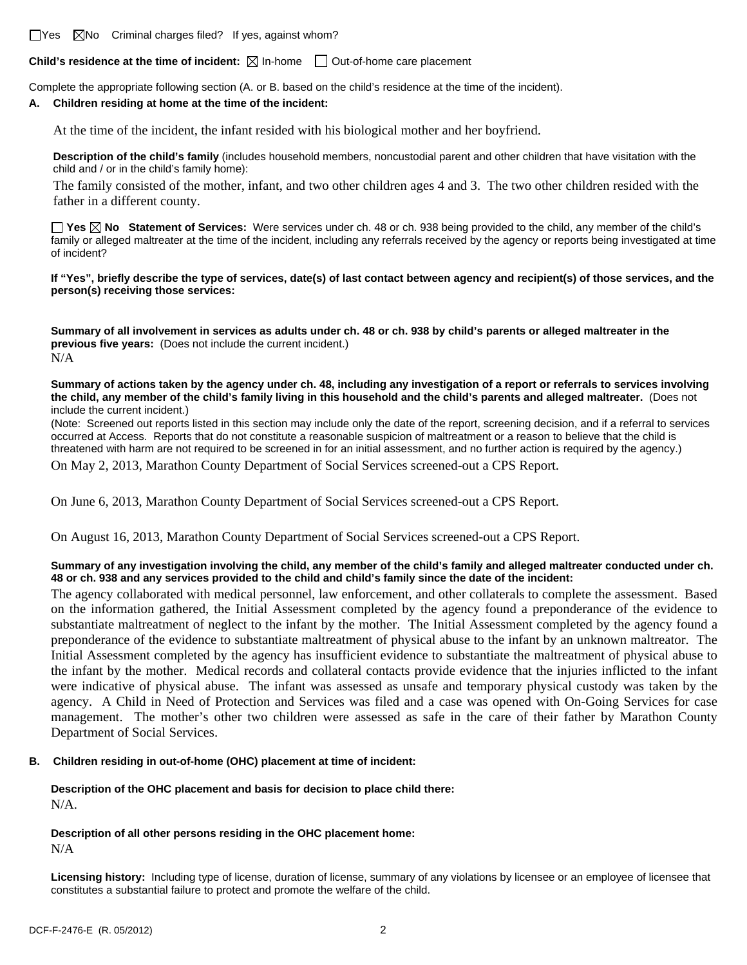$\Box$ Yes  $\Box$ No Criminal charges filed? If yes, against whom?

**Child's residence at the time of incident:**  $\boxtimes$  In-home  $\Box$  Out-of-home care placement

Complete the appropriate following section (A. or B. based on the child's residence at the time of the incident).

#### **A. Children residing at home at the time of the incident:**

At the time of the incident, the infant resided with his biological mother and her boyfriend.

**Description of the child's family** (includes household members, noncustodial parent and other children that have visitation with the child and / or in the child's family home):

 The family consisted of the mother, infant, and two other children ages 4 and 3. The two other children resided with the father in a different county.

**Yes No Statement of Services:** Were services under ch. 48 or ch. 938 being provided to the child, any member of the child's family or alleged maltreater at the time of the incident, including any referrals received by the agency or reports being investigated at time of incident?

**If "Yes", briefly describe the type of services, date(s) of last contact between agency and recipient(s) of those services, and the person(s) receiving those services:** 

**Summary of all involvement in services as adults under ch. 48 or ch. 938 by child's parents or alleged maltreater in the previous five years:** (Does not include the current incident.) N/A

**Summary of actions taken by the agency under ch. 48, including any investigation of a report or referrals to services involving the child, any member of the child's family living in this household and the child's parents and alleged maltreater.** (Does not include the current incident.)

(Note: Screened out reports listed in this section may include only the date of the report, screening decision, and if a referral to services occurred at Access. Reports that do not constitute a reasonable suspicion of maltreatment or a reason to believe that the child is threatened with harm are not required to be screened in for an initial assessment, and no further action is required by the agency.)

On May 2, 2013, Marathon County Department of Social Services screened-out a CPS Report.

On June 6, 2013, Marathon County Department of Social Services screened-out a CPS Report.

On August 16, 2013, Marathon County Department of Social Services screened-out a CPS Report.

#### **Summary of any investigation involving the child, any member of the child's family and alleged maltreater conducted under ch. 48 or ch. 938 and any services provided to the child and child's family since the date of the incident:**

The agency collaborated with medical personnel, law enforcement, and other collaterals to complete the assessment. Based on the information gathered, the Initial Assessment completed by the agency found a preponderance of the evidence to substantiate maltreatment of neglect to the infant by the mother. The Initial Assessment completed by the agency found a preponderance of the evidence to substantiate maltreatment of physical abuse to the infant by an unknown maltreator. The Initial Assessment completed by the agency has insufficient evidence to substantiate the maltreatment of physical abuse to the infant by the mother. Medical records and collateral contacts provide evidence that the injuries inflicted to the infant were indicative of physical abuse. The infant was assessed as unsafe and temporary physical custody was taken by the agency. A Child in Need of Protection and Services was filed and a case was opened with On-Going Services for case management. The mother's other two children were assessed as safe in the care of their father by Marathon County Department of Social Services.

## **B. Children residing in out-of-home (OHC) placement at time of incident:**

## **Description of the OHC placement and basis for decision to place child there:** N/A.

#### **Description of all other persons residing in the OHC placement home:** N/A

**Licensing history:** Including type of license, duration of license, summary of any violations by licensee or an employee of licensee that constitutes a substantial failure to protect and promote the welfare of the child.